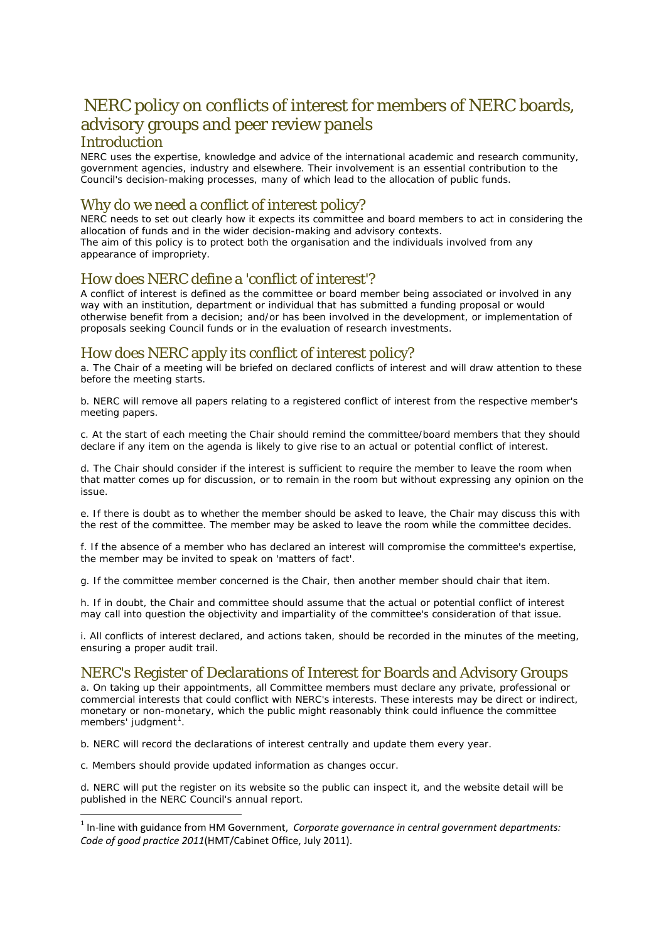# NERC policy on conflicts of interest for members of NERC boards, advisory groups and peer review panels **Introduction**

NERC uses the expertise, knowledge and advice of the international academic and research community, government agencies, industry and elsewhere. Their involvement is an essential contribution to the Council's decision-making processes, many of which lead to the allocation of public funds.

# Why do we need a conflict of interest policy?

NERC needs to set out clearly how it expects its committee and board members to act in considering the allocation of funds and in the wider decision-making and advisory contexts. The aim of this policy is to protect both the organisation and the individuals involved from any appearance of impropriety.

### How does NERC define a 'conflict of interest'?

A conflict of interest is defined as the committee or board member being associated or involved in any way with an institution, department or individual that has submitted a funding proposal or would otherwise benefit from a decision; and/or has been involved in the development, or implementation of proposals seeking Council funds or in the evaluation of research investments.

#### How does NERC apply its conflict of interest policy?

a. The Chair of a meeting will be briefed on declared conflicts of interest and will draw attention to these before the meeting starts.

b. NERC will remove all papers relating to a registered conflict of interest from the respective member's meeting papers.

c. At the start of each meeting the Chair should remind the committee/board members that they should declare if any item on the agenda is likely to give rise to an actual or potential conflict of interest.

d. The Chair should consider if the interest is sufficient to require the member to leave the room when that matter comes up for discussion, or to remain in the room but without expressing any opinion on the issue.

e. If there is doubt as to whether the member should be asked to leave, the Chair may discuss this with the rest of the committee. The member may be asked to leave the room while the committee decides.

f. If the absence of a member who has declared an interest will compromise the committee's expertise, the member may be invited to speak on 'matters of fact'.

g. If the committee member concerned is the Chair, then another member should chair that item.

h. If in doubt, the Chair and committee should assume that the actual or potential conflict of interest may call into question the objectivity and impartiality of the committee's consideration of that issue.

i. All conflicts of interest declared, and actions taken, should be recorded in the minutes of the meeting, ensuring a proper audit trail.

### NERC's Register of Declarations of Interest for Boards and Advisory Groups

a. On taking up their appointments, all Committee members must declare any private, professional or commercial interests that could conflict with NERC's interests. These interests may be *direct* or *indirect*, *monetary* or *non-monetary*, which the public might reasonably think could influence the committee members' judgment<sup>[1](#page-0-0)</sup>.

b. NERC will record the declarations of interest centrally and update them every year.

c. Members should provide updated information as changes occur.

 $\overline{\phantom{a}}$ 

d. NERC will put the register on its website so the public can inspect it, and the website detail will be published in the NERC Council's annual report.

<span id="page-0-0"></span><sup>1</sup> In-line with guidance from HM Government, *Corporate governance in central government departments: Code of good practice 2011*(HMT/Cabinet Office, July 2011).